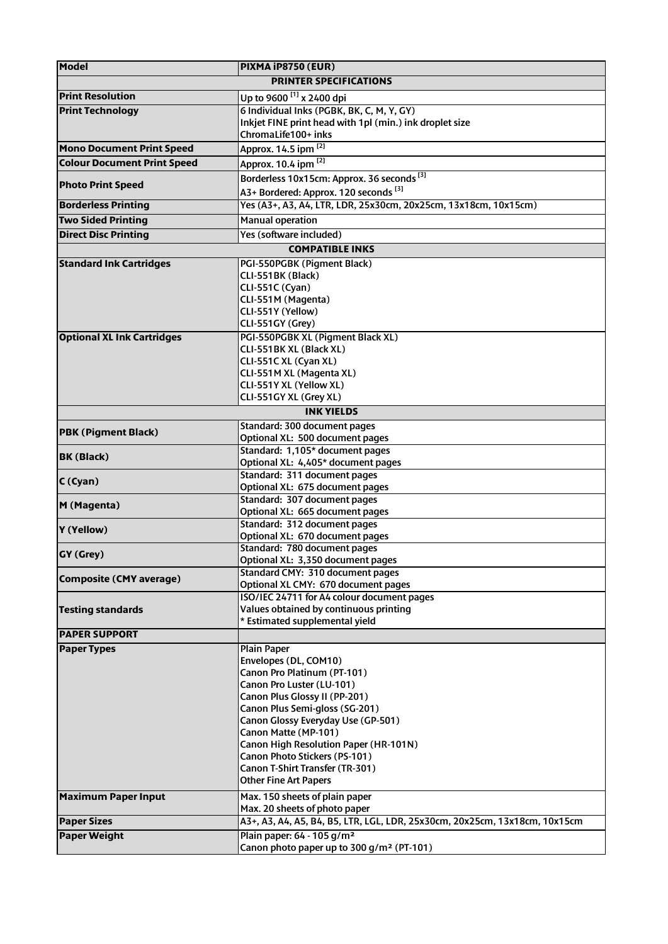| <b>Model</b>                       | PIXMA iP8750 (EUR)                                                                                          |
|------------------------------------|-------------------------------------------------------------------------------------------------------------|
| <b>PRINTER SPECIFICATIONS</b>      |                                                                                                             |
| <b>Print Resolution</b>            | Up to 9600 <sup>[1]</sup> x 2400 dpi                                                                        |
| <b>Print Technology</b>            | 6 Individual Inks (PGBK, BK, C, M, Y, GY)                                                                   |
|                                    | Inkjet FINE print head with 1pl (min.) ink droplet size                                                     |
|                                    | ChromaLife100+ inks                                                                                         |
| <b>Mono Document Print Speed</b>   | Approx. 14.5 ipm [2]                                                                                        |
| <b>Colour Document Print Speed</b> | Approx. 10.4 ipm [2]                                                                                        |
|                                    | Borderless 10x15cm: Approx. 36 seconds <sup>[3]</sup>                                                       |
| <b>Photo Print Speed</b>           | A3+ Bordered: Approx. 120 seconds <sup>[3]</sup>                                                            |
| <b>Borderless Printing</b>         | Yes (A3+, A3, A4, LTR, LDR, 25x30cm, 20x25cm, 13x18cm, 10x15cm)                                             |
| <b>Two Sided Printing</b>          | <b>Manual operation</b>                                                                                     |
|                                    |                                                                                                             |
| <b>Direct Disc Printing</b>        | Yes (software included)                                                                                     |
| <b>COMPATIBLE INKS</b>             |                                                                                                             |
| <b>Standard Ink Cartridges</b>     | PGI-550PGBK (Pigment Black)                                                                                 |
|                                    | CLI-551BK (Black)                                                                                           |
|                                    | CLI-551C (Cyan)                                                                                             |
|                                    | CLI-551M (Magenta)                                                                                          |
|                                    | CLI-551Y (Yellow)                                                                                           |
|                                    | CLI-551GY (Grey)                                                                                            |
| <b>Optional XL Ink Cartridges</b>  | PGI-550PGBK XL (Pigment Black XL)<br>CLI-551 BK XL (Black XL)                                               |
|                                    | CLI-551C XL (Cyan XL)                                                                                       |
|                                    | CLI-551M XL (Magenta XL)                                                                                    |
|                                    | CLI-551Y XL (Yellow XL)                                                                                     |
|                                    | CLI-551GY XL (Grey XL)                                                                                      |
| <b>INK YIELDS</b>                  |                                                                                                             |
|                                    | Standard: 300 document pages                                                                                |
| <b>PBK (Pigment Black)</b>         | Optional XL: 500 document pages                                                                             |
|                                    | Standard: 1,105* document pages                                                                             |
| <b>BK (Black)</b>                  | Optional XL: 4,405* document pages                                                                          |
| C(Cyan)                            | Standard: 311 document pages                                                                                |
|                                    | Optional XL: 675 document pages                                                                             |
| M (Magenta)                        | Standard: 307 document pages                                                                                |
|                                    | Optional XL: 665 document pages                                                                             |
| Y (Yellow)                         | Standard: 312 document pages                                                                                |
|                                    | Optional XL: 670 document pages                                                                             |
| <b>GY (Grey)</b>                   | Standard: 780 document pages<br>Optional XL: 3,350 document pages                                           |
|                                    | Standard CMY: 310 document pages                                                                            |
| <b>Composite (CMY average)</b>     | Optional XL CMY: 670 document pages                                                                         |
|                                    | ISO/IEC 24711 for A4 colour document pages                                                                  |
| <b>Testing standards</b>           | Values obtained by continuous printing                                                                      |
|                                    | * Estimated supplemental yield                                                                              |
| <b>PAPER SUPPORT</b>               |                                                                                                             |
| <b>Paper Types</b>                 | <b>Plain Paper</b>                                                                                          |
|                                    | Envelopes (DL, COM10)                                                                                       |
|                                    | Canon Pro Platinum (PT-101)                                                                                 |
|                                    | Canon Pro Luster (LU-101)                                                                                   |
|                                    | Canon Plus Glossy II (PP-201)                                                                               |
|                                    | Canon Plus Semi-gloss (SG-201)                                                                              |
|                                    | Canon Glossy Everyday Use (GP-501)                                                                          |
|                                    | Canon Matte (MP-101)                                                                                        |
|                                    | Canon High Resolution Paper (HR-101N)<br>Canon Photo Stickers (PS-101)                                      |
|                                    | Canon T-Shirt Transfer (TR-301)                                                                             |
|                                    | <b>Other Fine Art Papers</b>                                                                                |
|                                    |                                                                                                             |
| <b>Maximum Paper Input</b>         | Max. 150 sheets of plain paper                                                                              |
| <b>Paper Sizes</b>                 | Max. 20 sheets of photo paper<br>A3+, A3, A4, A5, B4, B5, LTR, LGL, LDR, 25x30cm, 20x25cm, 13x18cm, 10x15cm |
|                                    |                                                                                                             |
| <b>Paper Weight</b>                | Plain paper: 64 - 105 g/m <sup>2</sup>                                                                      |
|                                    | Canon photo paper up to 300 g/m <sup>2</sup> (PT-101)                                                       |